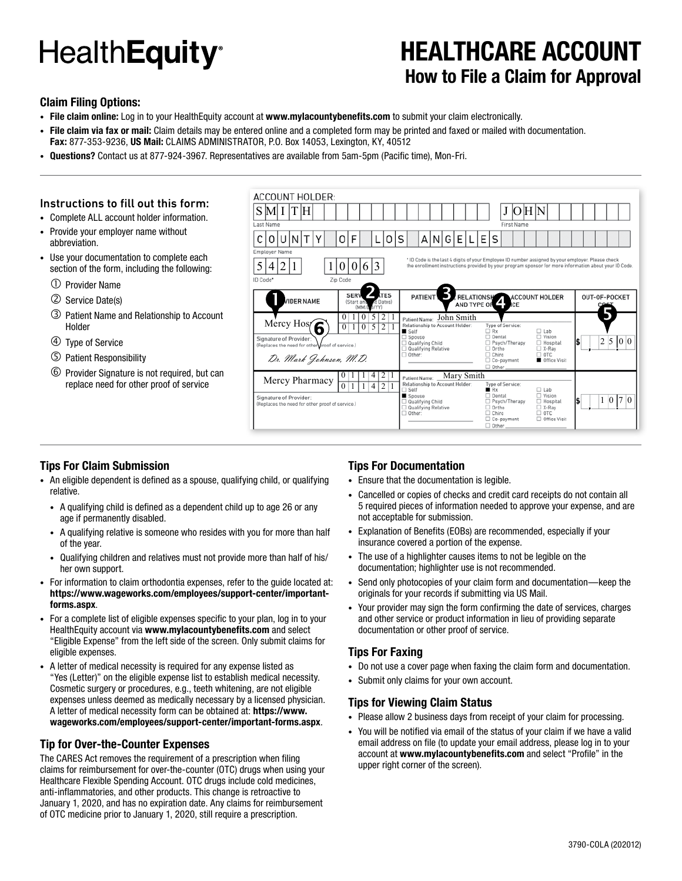# **HealthEquity**<sup>®</sup>

### **HEALTHCARE ACCOUNT How to File a Claim for Approval**

#### **Claim Filing Options:**

**• File claim online:** Log in to your HealthEquity account at **www.mylacountybenefits.com** to submit your claim electronically.

ACCOUNT HOLDED

- **• File claim via fax or mail:** Claim details may be entered online and a completed form may be printed and faxed or mailed with documentation.
- **Fax:** 877-353-9236, **US Mail:** CLAIMS ADMINISTRATOR, P.O. Box 14053, Lexington, KY, 40512
- **• Questions?** Contact us at 877-924-3967. Representatives are available from 5am-5pm (Pacific time), Mon-Fri.

#### Instructions to fill out this form:

- Complete ALL account holder information.
- Provide your employer name without abbreviation.
- Use your documentation to complete each section of the form, including the following:
	- Provider Name
	- Service Date(s)
	- Patient Name and Relationship to Account Holder
	- Type of Service
	- Patient Responsibility
	- Provider Signature is not required, but can replace need for other proof of service

| ACCOUNT HULDER:                                                                                                                                                                                                                                       |                                                                                                                                                                                         |                             |  |  |  |  |  |  |  |  |  |  |  |  |
|-------------------------------------------------------------------------------------------------------------------------------------------------------------------------------------------------------------------------------------------------------|-----------------------------------------------------------------------------------------------------------------------------------------------------------------------------------------|-----------------------------|--|--|--|--|--|--|--|--|--|--|--|--|
| $S$ MITH                                                                                                                                                                                                                                              | O H N<br>J                                                                                                                                                                              |                             |  |  |  |  |  |  |  |  |  |  |  |  |
| Last Name                                                                                                                                                                                                                                             | First Name                                                                                                                                                                              |                             |  |  |  |  |  |  |  |  |  |  |  |  |
| F<br>U<br>Ω                                                                                                                                                                                                                                           | A[N G E L E S<br>S                                                                                                                                                                      |                             |  |  |  |  |  |  |  |  |  |  |  |  |
| Employer Name                                                                                                                                                                                                                                         |                                                                                                                                                                                         |                             |  |  |  |  |  |  |  |  |  |  |  |  |
| * ID Code is the last 4 digits of your Employee ID number assigned by your employer. Please check<br>5<br>613<br>2<br>the enrollment instructions provided by your program sponsor for more information about your ID Code.<br>4<br>0<br>$\mathbf{U}$ |                                                                                                                                                                                         |                             |  |  |  |  |  |  |  |  |  |  |  |  |
| ID Code*<br>Zip Code                                                                                                                                                                                                                                  |                                                                                                                                                                                         |                             |  |  |  |  |  |  |  |  |  |  |  |  |
| <b>TES</b><br><b>SERV</b><br><b>JIDER NAME</b><br>d Dates)<br>(Start and<br>VYY)<br>(MM/L                                                                                                                                                             | PATIENT<br>RELATIONSHAPPEARCCOUNT HOLDER<br>OUT-OF-POCKET<br>AND TYPE OF 4<br>CE                                                                                                        |                             |  |  |  |  |  |  |  |  |  |  |  |  |
| $\overline{2}$<br>5<br>-1<br>$\bf{0}$<br>$\mathbf{0}$<br>Mercy Hos(6<br>$\mathbf{0}$<br>5<br>2 1<br>$\mathbf{0}$<br>1                                                                                                                                 | Patient Name: John Smith<br>Relationship to Account Holder:<br>Type of Service:<br>□ Rx<br>$\Box$ Lab<br>Self                                                                           |                             |  |  |  |  |  |  |  |  |  |  |  |  |
| Signature of Provider:<br>(Replaces the need for other wroof of service.)                                                                                                                                                                             | $\Box$ Vision<br>□ Dental<br>$\Box$ Spouse<br>Qualifying Child<br>Psych/Therapy<br>$\Box$ Hospital<br>Qualifying Relative<br>$\Box$ Ortho<br>$\Box$ X-Ray<br>$\Box$ Chiro<br>$\Box$ OTC | 5<br> 0 0<br>$\overline{c}$ |  |  |  |  |  |  |  |  |  |  |  |  |
| Dr. Mark Johnson, M.D.                                                                                                                                                                                                                                | $\Box$ Other:<br>Office Visit<br>Co-payment<br>$\Box$ Other                                                                                                                             |                             |  |  |  |  |  |  |  |  |  |  |  |  |
| 2 1<br>4<br>$\bf{0}$<br>-1<br>Mercy Pharmacy                                                                                                                                                                                                          | Mary Smith<br>Patient Name:                                                                                                                                                             |                             |  |  |  |  |  |  |  |  |  |  |  |  |
| $\overline{0}$<br>2 1<br>$\overline{4}$                                                                                                                                                                                                               | Relationship to Account Holder:<br><b>Type of Service:</b><br>$\Box$ Lab<br>$\Box$ Self<br>Rx                                                                                           |                             |  |  |  |  |  |  |  |  |  |  |  |  |
| Signature of Provider:<br>(Replaces the need for other proof of service.)                                                                                                                                                                             | $\Box$ Vision<br>□ Dental<br>Spouse<br>Qualifying Child<br>Psych/Therapy<br>□ Hospital<br>$\Box$ Ortho<br>$\Box$ X-Ray<br>Qualifying Relative<br>□ Other:<br>$\Box$ Chiro<br>$\Box$ OTC | 1 0 7 0                     |  |  |  |  |  |  |  |  |  |  |  |  |
|                                                                                                                                                                                                                                                       | Co-payment<br>□ Office Visit<br>$\Box$ Other                                                                                                                                            |                             |  |  |  |  |  |  |  |  |  |  |  |  |

#### **Tips For Claim Submission**

- An eligible dependent is defined as a spouse, qualifying child, or qualifying relative.
	- A qualifying child is defined as a dependent child up to age 26 or any age if permanently disabled.
	- A qualifying relative is someone who resides with you for more than half of the year.
	- Qualifying children and relatives must not provide more than half of his/ her own support.
- For information to claim orthodontia expenses, refer to the guide located at: **https://www.wageworks.com/employees/support-center/importantforms.aspx**.
- For a complete list of eligible expenses specific to your plan, log in to your HealthEquity account via **www.mylacountybenefits.com** and select "Eligible Expense" from the left side of the screen. Only submit claims for eligible expenses.
- A letter of medical necessity is required for any expense listed as "Yes (Letter)" on the eligible expense list to establish medical necessity. Cosmetic surgery or procedures, e.g., teeth whitening, are not eligible expenses unless deemed as medically necessary by a licensed physician. A letter of medical necessity form can be obtained at: **https://www. wageworks.com/employees/support-center/important-forms.aspx**.

#### **Tip for Over-the-Counter Expenses**

The CARES Act removes the requirement of a prescription when filing claims for reimbursement for over-the-counter (OTC) drugs when using your Healthcare Flexible Spending Account. OTC drugs include cold medicines, anti-inflammatories, and other products. This change is retroactive to January 1, 2020, and has no expiration date. Any claims for reimbursement of OTC medicine prior to January 1, 2020, still require a prescription.

#### **Tips For Documentation**

- Ensure that the documentation is legible.
- Cancelled or copies of checks and credit card receipts do not contain all 5 required pieces of information needed to approve your expense, and are not acceptable for submission.
- Explanation of Benefits (EOBs) are recommended, especially if your insurance covered a portion of the expense.
- The use of a highlighter causes items to not be legible on the documentation; highlighter use is not recommended.
- Send only photocopies of your claim form and documentation—keep the originals for your records if submitting via US Mail.
- Your provider may sign the form confirming the date of services, charges and other service or product information in lieu of providing separate documentation or other proof of service.

#### **Tips For Faxing**

- Do not use a cover page when faxing the claim form and documentation.
- Submit only claims for your own account.

#### **Tips for Viewing Claim Status**

- Please allow 2 business days from receipt of your claim for processing.
- You will be notified via email of the status of your claim if we have a valid email address on file (to update your email address, please log in to your account at **www.mylacountybenefits.com** and select "Profile" in the upper right corner of the screen).